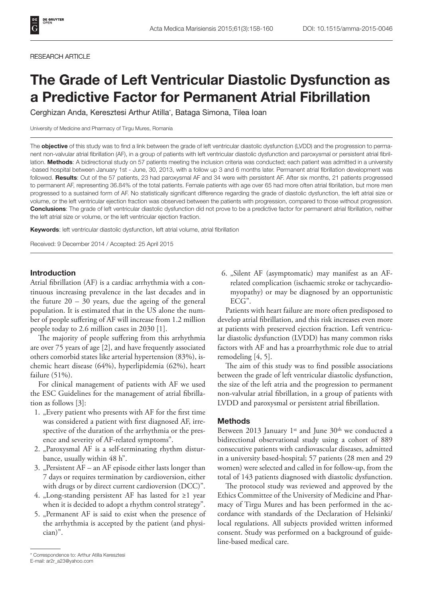#### RESEARCH ARTICLE

# The Grade of Left Ventricular Diastolic Dysfunction as a Predictive Factor for Permanent Atrial Fibrillation

Cerghizan Anda, Keresztesi Arthur Atilla\*, Bataga Simona, Tilea Ioan

University of Medicine and Pharmacy of Tirgu Mures, Romania

The **objective** of this study was to find a link between the grade of left ventricular diastolic dysfunction (LVDD) and the progression to permanent non-valvular atrial fibrillation (AF), in a group of patients with left ventricular diastolic dysfunction and paroxysmal or persistent atrial fibrillation. Methods: A bidirectional study on 57 patients meeting the inclusion criteria was conducted; each patient was admitted in a university -based hospital between January 1st - June, 30, 2013, with a follow up 3 and 6 months later. Permanent atrial fibrillation development was followed. Results: Out of the 57 patients, 23 had paroxysmal AF and 34 were with persistent AF. After six months, 21 patients progressed to permanent AF, representing 36.84% of the total patients. Female patients with age over 65 had more often atrial fibrillation, but more men progressed to a sustained form of AF. No statistically significant difference regarding the grade of diastolic dysfunction, the left atrial size or volume, or the left ventricular ejection fraction was observed between the patients with progression, compared to those without progression. Conclusions: The grade of left ventricular diastolic dysfunction did not prove to be a predictive factor for permanent atrial fibrillation, neither the left atrial size or volume, or the left ventricular ejection fraction.

Keywords: left ventricular diastolic dysfunction, left atrial volume, atrial fibrillation

Received: 9 December 2014 / Accepted: 25 April 2015

### Introduction

Atrial fibrillation (AF) is a cardiac arrhythmia with a continuous increasing prevalence in the last decades and in the future  $20 - 30$  years, due the ageing of the general population. It is estimated that in the US alone the number of people suffering of AF will increase from 1.2 million people today to 2.6 million cases in 2030 [1].

The majority of people suffering from this arrhythmia are over 75 years of age [2], and have frequently associated others comorbid states like arterial hypertension (83%), ischemic heart disease (64%), hyperlipidemia (62%), heart failure (51%).

For clinical management of patients with AF we used the ESC Guidelines for the management of atrial fibrillation as follows [3]:

- 1. "Every patient who presents with AF for the first time was considered a patient with first diagnosed AF, irrespective of the duration of the arrhythmia or the presence and severity of AF-related symptoms".
- 2. "Paroxysmal AF is a self-terminating rhythm disturbance, usually within 48 h".
- 3. "Persistent  $AF an AF$  episode either lasts longer than 7 days or requires termination by cardioversion, either with drugs or by direct current cardioversion (DCC)".
- 4. "Long-standing persistent AF has lasted for  $\geq 1$  year when it is decided to adopt a rhythm control strategy".
- 5. "Permanent AF is said to exist when the presence of the arrhythmia is accepted by the patient (and physician)".

6. "Silent AF (asymptomatic) may manifest as an AFrelated complication (ischaemic stroke or tachycardiomyopathy) or may be diagnosed by an opportunistic ECG".

Patients with heart failure are more often predisposed to develop atrial fibrillation, and this risk increases even more at patients with preserved ejection fraction. Left ventricular diastolic dysfunction (LVDD) has many common risks factors with AF and has a proarrhythmic role due to atrial remodeling [4, 5].

The aim of this study was to find possible associations between the grade of left ventricular diastolic dysfunction, the size of the left atria and the progression to permanent non-valvular atrial fibrillation, in a group of patients with LVDD and paroxysmal or persistent atrial fibrillation.

### Methods

Between 2013 January 1st and June  $30<sup>th</sup>$  we conducted a bidirectional observational study using a cohort of 889 consecutive patients with cardiovascular diseases, admitted in a university based-hospital; 57 patients (28 men and 29 women) were selected and called in for follow-up, from the total of 143 patients diagnosed with diastolic dysfunction.

The protocol study was reviewed and approved by the Ethics Committee of the University of Medicine and Pharmacy of Tirgu Mures and has been performed in the accordance with standards of the Declaration of Helsinki/ local regulations. All subjects provided written informed consent. Study was performed on a background of guideline-based medical care.

<sup>\*</sup> Correspondence to: Arthur Atilla Keresztesi

E-mail: ar2r\_a23@yahoo.com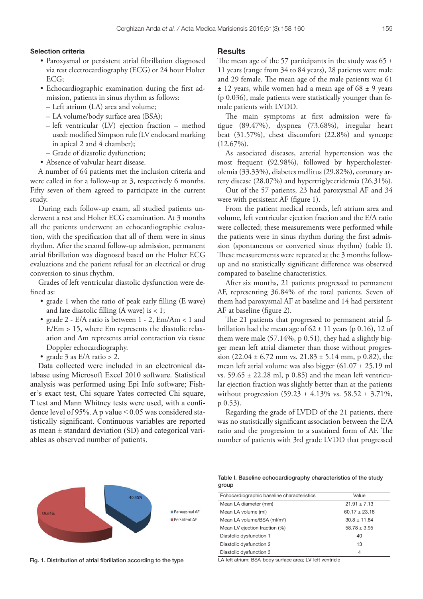#### Selection criteria

- • Paroxysmal or persistent atrial fibrillation diagnosed via rest electrocardiography (ECG) or 24 hour Holter ECG;
- • Echocardiographic examination during the first admission, patients in sinus rhythm as follows:
	- Left atrium (LA) area and volume;
	- LA volume/body surface area (BSA);
	- left ventricular (LV) ejection fraction method used: modified Simpson rule (LV endocard marking in apical 2 and 4 chamber);
	- Grade of diastolic dysfunction;
- Absence of valvular heart disease.

A number of 64 patients met the inclusion criteria and were called in for a follow-up at 3, respectively 6 months. Fifty seven of them agreed to participate in the current study.

During each follow-up exam, all studied patients underwent a rest and Holter ECG examination. At 3 months all the patients underwent an echocardiographic evaluation, with the specification that all of them were in sinus rhythm. After the second follow-up admission, permanent atrial fibrillation was diagnosed based on the Holter ECG evaluations and the patient refusal for an electrical or drug conversion to sinus rhythm.

Grades of left ventricular diastolic dysfunction were defined as:

- grade 1 when the ratio of peak early filling (E wave) and late diastolic filling (A wave) is < 1;
- grade  $2$  E/A ratio is between  $1 2$ , Em/Am < 1 and  $E/Em > 15$ , where Em represents the diastolic relaxation and Am represents atrial contraction via tissue Doppler echocardiography.
- grade 3 as  $E/A$  ratio > 2.

Data collected were included in an electronical database using Microsoft Excel 2010 software. Statistical analysis was performed using Epi Info software; Fisher's exact test, Chi square Yates corrected Chi square, T test and Mann Whitney tests were used, with a confidence level of 95%. A p value < 0.05 was considered statistically significant. Continuous variables are reported as mean  $\pm$  standard deviation (SD) and categorical variables as observed number of patients.

# **Results**

The mean age of the 57 participants in the study was 65  $\pm$ 11 years (range from 34 to 84 years), 28 patients were male and 29 female. The mean age of the male patients was 61 ± 12 years, while women had a mean age of 68 ± 9 years (p 0.036), male patients were statistically younger than female patients with LVDD.

The main symptoms at first admission were fatigue (89.47%), dyspnea (73.68%), irregular heart beat (31.57%), chest discomfort (22.8%) and syncope (12.67%).

As associated diseases, arterial hypertension was the most frequent (92.98%), followed by hypercholesterolemia (33.33%), diabetes mellitus (29.82%), coronary artery disease (28.07%) and hypertriglyceridemia (26.31%).

Out of the 57 patients, 23 had paroxysmal AF and 34 were with persistent AF (figure 1).

From the patient medical records, left atrium area and volume, left ventricular ejection fraction and the E/A ratio were collected; these measurements were performed while the patients were in sinus rhythm during the first admission (spontaneous or converted sinus rhythm) (table I). These measurements were repeated at the 3 months followup and no statistically significant difference was observed compared to baseline characteristics.

After six months, 21 patients progressed to permanent AF, representing 36.84% of the total patients. Seven of them had paroxysmal AF at baseline and 14 had persistent AF at baseline (figure 2).

The 21 patients that progressed to permanent atrial fibrillation had the mean age of  $62 \pm 11$  years (p 0.16), 12 of them were male (57.14%, p 0.51), they had a slightly bigger mean left atrial diameter than those without progression  $(22.04 \pm 6.72 \text{ mm} \text{ vs. } 21.83 \pm 5.14 \text{ mm}, \text{ p } 0.82)$ , the mean left atrial volume was also bigger (61.07 ± 25.19 ml vs.  $59.65 \pm 22.28$  ml, p 0.85) and the mean left ventricular ejection fraction was slightly better than at the patients without progression  $(59.23 \pm 4.13\% \text{ vs. } 58.52 \pm 3.71\%$ , p 0.53).

Regarding the grade of LVDD of the 21 patients, there was no statistically significant association between the E/A ratio and the progression to a sustained form of AF. The number of patients with 3rd grade LVDD that progressed



Fig. 1. Distribution of atrial fibrillation according to the type LA-left atrium; BSA-body surface area; LV-left ventricle

Table I. Baseline echocardiography characteristics of the study group

| Echocardiographic baseline characteristics | Value            |
|--------------------------------------------|------------------|
| Mean LA diameter (mm)                      | $21.91 \pm 7.13$ |
| Mean LA volume (ml)                        | $60.17 + 23.18$  |
| Mean LA volume/BSA (ml/m <sup>2</sup> )    | $30.8 \pm 11.84$ |
| Mean LV ejection fraction (%)              | $58.78 \pm 3.95$ |
| Diastolic dysfunction 1                    | 40               |
| Diastolic dysfunction 2                    | 13               |
| Diastolic dysfunction 3                    | 4                |